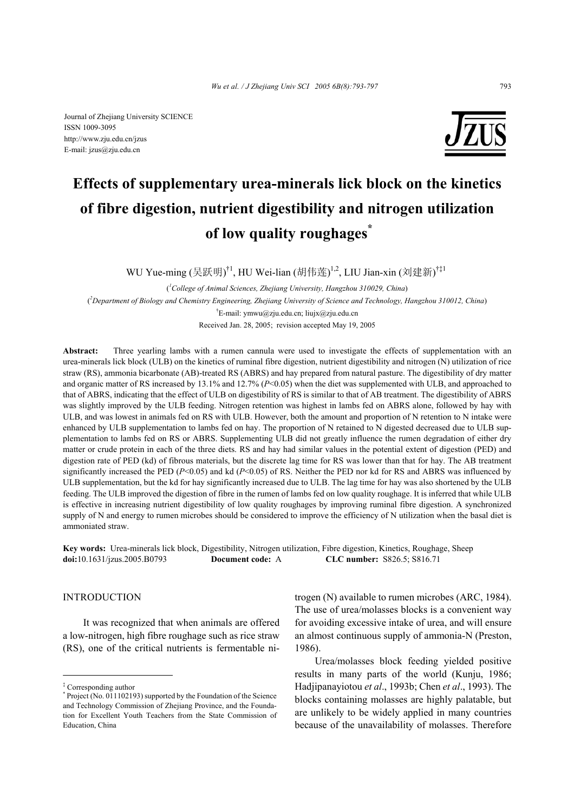

# **Effects of supplementary urea-minerals lick block on the kinetics of fibre digestion, nutrient digestibility and nitrogen utilization of low quality roughages\***

WU Yue-ming (吴跃明)<sup>†1</sup>, HU Wei-lian (胡伟莲)<sup>1,2</sup>, LIU Jian-xin (刘建新)<sup>†‡1</sup>

( *1 College of Animal Sciences, Zhejiang University, Hangzhou 310029, China*) ( *2 Department of Biology and Chemistry Engineering, Zhejiang University of Science and Technology, Hangzhou 310012, China*) † E-mail: ymwu@zju.edu.cn; liujx@zju.edu.cn Received Jan. 28, 2005; revision accepted May 19, 2005

**Abstract:** Three yearling lambs with a rumen cannula were used to investigate the effects of supplementation with an urea-minerals lick block (ULB) on the kinetics of ruminal fibre digestion, nutrient digestibility and nitrogen (N) utilization of rice straw (RS), ammonia bicarbonate (AB)-treated RS (ABRS) and hay prepared from natural pasture. The digestibility of dry matter and organic matter of RS increased by 13.1% and 12.7% ( $P<0.05$ ) when the diet was supplemented with ULB, and approached to that of ABRS, indicating that the effect of ULB on digestibility of RS is similar to that of AB treatment. The digestibility of ABRS was slightly improved by the ULB feeding. Nitrogen retention was highest in lambs fed on ABRS alone, followed by hay with ULB, and was lowest in animals fed on RS with ULB. However, both the amount and proportion of N retention to N intake were enhanced by ULB supplementation to lambs fed on hay. The proportion of N retained to N digested decreased due to ULB supplementation to lambs fed on RS or ABRS. Supplementing ULB did not greatly influence the rumen degradation of either dry matter or crude protein in each of the three diets. RS and hay had similar values in the potential extent of digestion (PED) and digestion rate of PED (kd) of fibrous materials, but the discrete lag time for RS was lower than that for hay. The AB treatment significantly increased the PED (*P*<0.05) and kd (*P*<0.05) of RS. Neither the PED nor kd for RS and ABRS was influenced by ULB supplementation, but the kd for hay significantly increased due to ULB. The lag time for hay was also shortened by the ULB feeding. The ULB improved the digestion of fibre in the rumen of lambs fed on low quality roughage. It is inferred that while ULB is effective in increasing nutrient digestibility of low quality roughages by improving ruminal fibre digestion. A synchronized supply of N and energy to rumen microbes should be considered to improve the efficiency of N utilization when the basal diet is ammoniated straw.

**Key words:** Urea-minerals lick block, Digestibility, Nitrogen utilization, Fibre digestion, Kinetics, Roughage, Sheep **doi:**10.1631/jzus.2005.B0793 **Document code:** A **CLC number:** S826.5; S816.71

## INTRODUCTION

It was recognized that when animals are offered a low-nitrogen, high fibre roughage such as rice straw (RS), one of the critical nutrients is fermentable nitrogen (N) available to rumen microbes (ARC, 1984). The use of urea/molasses blocks is a convenient way for avoiding excessive intake of urea, and will ensure an almost continuous supply of ammonia-N (Preston, 1986).

Urea/molasses block feeding yielded positive results in many parts of the world (Kunju, 1986; Hadjipanayiotou *et al*., 1993b; Chen *et al*., 1993). The blocks containing molasses are highly palatable, but are unlikely to be widely applied in many countries because of the unavailability of molasses. Therefore

<sup>‡</sup> Corresponding author

<sup>\*</sup> Project (No. 011102193) supported by the Foundation of the Science and Technology Commission of Zhejiang Province, and the Foundation for Excellent Youth Teachers from the State Commission of Education, China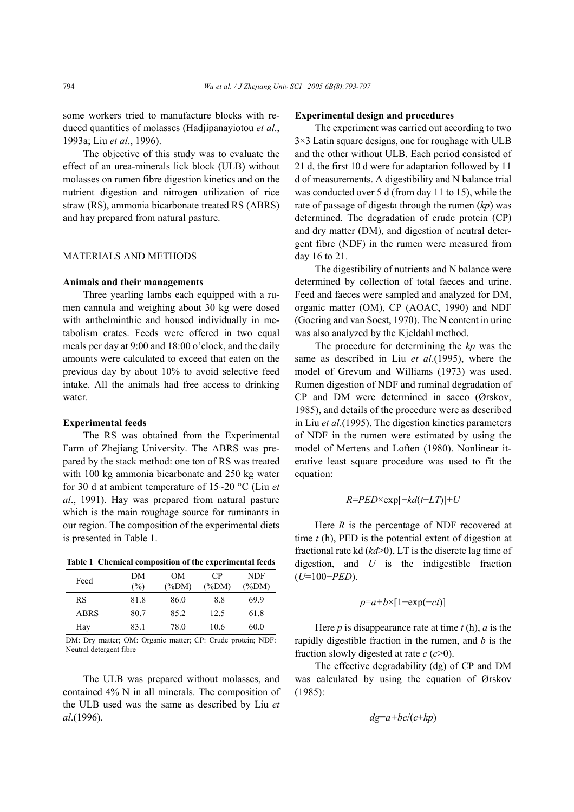some workers tried to manufacture blocks with reduced quantities of molasses (Hadjipanayiotou *et al*., 1993a; Liu *et al*., 1996).

The objective of this study was to evaluate the effect of an urea-minerals lick block (ULB) without molasses on rumen fibre digestion kinetics and on the nutrient digestion and nitrogen utilization of rice straw (RS), ammonia bicarbonate treated RS (ABRS) and hay prepared from natural pasture.

## MATERIALS AND METHODS

#### **Animals and their managements**

Three yearling lambs each equipped with a rumen cannula and weighing about 30 kg were dosed with anthelminthic and housed individually in metabolism crates. Feeds were offered in two equal meals per day at 9:00 and 18:00 o'clock, and the daily amounts were calculated to exceed that eaten on the previous day by about 10% to avoid selective feed intake. All the animals had free access to drinking water.

#### **Experimental feeds**

The RS was obtained from the Experimental Farm of Zhejiang University. The ABRS was prepared by the stack method: one ton of RS was treated with 100 kg ammonia bicarbonate and 250 kg water for 30 d at ambient temperature of 15~20 °C (Liu *et al*., 1991). Hay was prepared from natural pasture which is the main roughage source for ruminants in our region. The composition of the experimental diets is presented in Table 1.

**Table 1 Chemical composition of the experimental feeds** 

| Feed        | DМ<br>(%) | OМ<br>$(\%DM)$ | CP<br>$(\%DM)$ | NDF<br>$(\%DM)$ |
|-------------|-----------|----------------|----------------|-----------------|
| RS          | 81.8      | 86.0           | 8.8            | 69.9            |
| <b>ABRS</b> | 80.7      | 85.2           | 12.5           | 61.8            |
| Hav         | 83.1      | 78.0           | 10.6           | 60.0            |

DM: Dry matter; OM: Organic matter; CP: Crude protein; NDF: Neutral detergent fibre

The ULB was prepared without molasses, and contained 4% N in all minerals. The composition of the ULB used was the same as described by Liu *et al*.(1996).

#### **Experimental design and procedures**

The experiment was carried out according to two 3×3 Latin square designs, one for roughage with ULB and the other without ULB. Each period consisted of 21 d, the first 10 d were for adaptation followed by 11 d of measurements. A digestibility and N balance trial was conducted over 5 d (from day 11 to 15), while the rate of passage of digesta through the rumen (*kp*) was determined. The degradation of crude protein (CP) and dry matter (DM), and digestion of neutral detergent fibre (NDF) in the rumen were measured from day 16 to 21.

The digestibility of nutrients and N balance were determined by collection of total faeces and urine. Feed and faeces were sampled and analyzed for DM, organic matter (OM), CP (AOAC, 1990) and NDF (Goering and van Soest, 1970). The N content in urine was also analyzed by the Kjeldahl method.

The procedure for determining the *kp* was the same as described in Liu *et al*.(1995), where the model of Grevum and Williams (1973) was used. Rumen digestion of NDF and ruminal degradation of CP and DM were determined in sacco (Ørskov, 1985), and details of the procedure were as described in Liu *et al*.(1995). The digestion kinetics parameters of NDF in the rumen were estimated by using the model of Mertens and Loften (1980). Nonlinear iterative least square procedure was used to fit the equation:

$$
R = PED \times \exp[-kd(t - LT)] + U
$$

Here *R* is the percentage of NDF recovered at time *t* (h), PED is the potential extent of digestion at fractional rate kd (*kd*>0), LT is the discrete lag time of digestion, and *U* is the indigestible fraction (*U*=100−*PED*).

$$
p=a+b\times[1-\exp(-ct)]
$$

Here *p* is disappearance rate at time *t* (h), *a* is the rapidly digestible fraction in the rumen, and *b* is the fraction slowly digested at rate *c* (*c*>0).

The effective degradability (dg) of CP and DM was calculated by using the equation of Ørskov (1985):

$$
dg=a+bc/(c+kp)
$$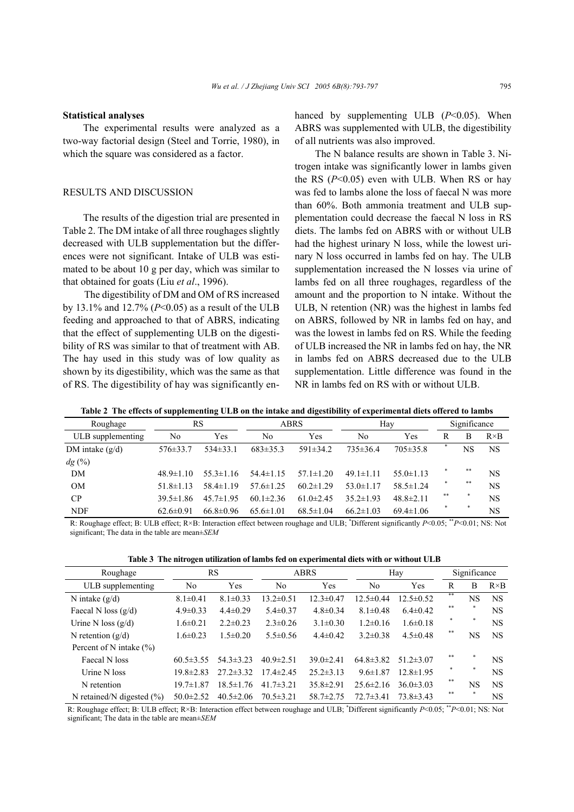#### **Statistical analyses**

The experimental results were analyzed as a two-way factorial design (Steel and Torrie, 1980), in which the square was considered as a factor.

### RESULTS AND DISCUSSION

The results of the digestion trial are presented in Table 2. The DM intake of all three roughages slightly decreased with ULB supplementation but the differences were not significant. Intake of ULB was estimated to be about 10 g per day, which was similar to that obtained for goats (Liu *et al*., 1996).

The digestibility of DM and OM of RS increased by 13.1% and 12.7% (*P*<0.05) as a result of the ULB feeding and approached to that of ABRS, indicating that the effect of supplementing ULB on the digestibility of RS was similar to that of treatment with AB. The hay used in this study was of low quality as shown by its digestibility, which was the same as that of RS. The digestibility of hay was significantly enhanced by supplementing ULB (*P*<0.05). When ABRS was supplemented with ULB, the digestibility of all nutrients was also improved.

The N balance results are shown in Table 3. Nitrogen intake was significantly lower in lambs given the RS  $(P<0.05)$  even with ULB. When RS or hay was fed to lambs alone the loss of faecal N was more than 60%. Both ammonia treatment and ULB supplementation could decrease the faecal N loss in RS diets. The lambs fed on ABRS with or without ULB had the highest urinary N loss, while the lowest urinary N loss occurred in lambs fed on hay. The ULB supplementation increased the N losses via urine of lambs fed on all three roughages, regardless of the amount and the proportion to N intake. Without the ULB, N retention (NR) was the highest in lambs fed on ABRS, followed by NR in lambs fed on hay, and was the lowest in lambs fed on RS. While the feeding of ULB increased the NR in lambs fed on hay, the NR in lambs fed on ABRS decreased due to the ULB supplementation. Little difference was found in the NR in lambs fed on RS with or without ULB.

|  |  |  |  |  |  |  | Table 2 The effects of supplementing ULB on the intake and digestibility of experimental diets offered to lambs |
|--|--|--|--|--|--|--|-----------------------------------------------------------------------------------------------------------------|
|--|--|--|--|--|--|--|-----------------------------------------------------------------------------------------------------------------|

| Roughage          |                 | <b>RS</b>       |                 | <b>ABRS</b>     |                 | Hay             |     | Significance |              |
|-------------------|-----------------|-----------------|-----------------|-----------------|-----------------|-----------------|-----|--------------|--------------|
| ULB supplementing | No              | Yes             | No              | Yes             | No              | Yes             | R   | B            | $R \times B$ |
| DM intake $(g/d)$ | $576 \pm 33.7$  | $534\pm33.1$    | $683\pm35.3$    | $591\pm34.2$    | $735\pm36.4$    | $705 \pm 35.8$  |     | NS           | <b>NS</b>    |
| dg (%)            |                 |                 |                 |                 |                 |                 |     |              |              |
| DM                | $48.9 \pm 1.10$ | $55.3 \pm 1.16$ | $54.4 \pm 1.15$ | $57.1 \pm 1.20$ | $49.1 \pm 1.11$ | $55.0 \pm 1.13$ | *   | $* *$        | <b>NS</b>    |
| <b>OM</b>         | $51.8 \pm 1.13$ | $58.4 \pm 1.19$ | $57.6 \pm 1.25$ | $60.2 \pm 1.29$ | $53.0 \pm 1.17$ | $58.5 \pm 1.24$ | *   | **           | <b>NS</b>    |
| CP                | $39.5 \pm 1.86$ | $45.7 \pm 1.95$ | $60.1 \pm 2.36$ | $61.0 \pm 2.45$ | $35.2 \pm 1.93$ | $48.8 \pm 2.11$ | **  |              | <b>NS</b>    |
| <b>NDF</b>        | $62.6 \pm 0.91$ | $66.8 \pm 0.96$ | $65.6 \pm 1.01$ | $68.5 \pm 1.04$ | $66.2 \pm 1.03$ | $69.4 \pm 1.06$ | $*$ | 寒            | <b>NS</b>    |

-R: Roughage effect; B: ULB effect; R×B: Interaction effect between roughage and ULB; \* Different significantly *P*<0.05; \*\**P*<0.01; NS: Not significant; The data in the table are mean±*SEM* 

|  |  | Table 3 The nitrogen utilization of lambs fed on experimental diets with or without ULB |  |
|--|--|-----------------------------------------------------------------------------------------|--|
|  |  |                                                                                         |  |

| Roughage                      |                 | RS              |                 | <b>ABRS</b>     |                 | Hay             |       | Significance  |              |
|-------------------------------|-----------------|-----------------|-----------------|-----------------|-----------------|-----------------|-------|---------------|--------------|
| ULB supplementing             | N <sub>0</sub>  | Yes             | N <sub>0</sub>  | Yes             | No              | Yes             | R     | B             | $R \times B$ |
| N intake $(g/d)$              | $8.1 \pm 0.41$  | $8.1 \pm 0.33$  | $13.2 \pm 0.51$ | $12.3 \pm 0.47$ | $12.5 \pm 0.44$ | $12.5 \pm 0.52$ | **    | NS            | <b>NS</b>    |
| Faecal N loss $(g/d)$         | $4.9 \pm 0.33$  | $4.4 \pm 0.29$  | $5.4 \pm 0.37$  | $4.8 \pm 0.34$  | $8.1 \pm 0.48$  | $6.4 \pm 0.42$  | **    | *             | <b>NS</b>    |
| Urine N loss $(g/d)$          | $1.6 \pm 0.21$  | $2.2 \pm 0.23$  | $2.3 \pm 0.26$  | $3.1 \pm 0.30$  | $1.2\pm 0.16$   | $1.6 \pm 0.18$  |       | *             | <b>NS</b>    |
| N retention $(g/d)$           | $1.6 \pm 0.23$  | $1.5 \pm 0.20$  | $5.5 \pm 0.56$  | $4.4\pm0.42$    | $3.2 \pm 0.38$  | $4.5 \pm 0.48$  | $* *$ | NS            | <b>NS</b>    |
| Percent of N intake $(\% )$   |                 |                 |                 |                 |                 |                 |       |               |              |
| Faecal N loss                 | $60.5 \pm 3.55$ | $54.3 \pm 3.23$ | $40.9 \pm 2.51$ | $39.0 \pm 2.41$ | $64.8 \pm 3.82$ | $51.2 \pm 3.07$ | **    | $\frac{1}{2}$ | <b>NS</b>    |
| Urine N loss                  | $19.8 \pm 2.83$ | $27.2 \pm 3.32$ | $17.4 \pm 2.45$ | $25.2 \pm 3.13$ | $9.6 \pm 1.87$  | $12.8 \pm 1.95$ |       | *             | <b>NS</b>    |
| N retention                   | $19.7 \pm 1.87$ | $18.5 \pm 1.76$ | $41.7 \pm 3.21$ | $35.8 \pm 2.91$ | $25.6 \pm 2.16$ | $36.0 \pm 3.03$ | **    | NS            | <b>NS</b>    |
| N retained/N digested $(\% )$ | $50.0 \pm 2.52$ | $40.5 \pm 2.06$ | $70.5 \pm 3.21$ | $58.7 \pm 2.75$ | $72.7 \pm 3.41$ | $73.8 \pm 3.43$ | **    |               | <b>NS</b>    |

-R: Roughage effect; B: ULB effect; R×B: Interaction effect between roughage and ULB; \* Different significantly *P*<0.05; \*\**P*<0.01; NS: Not -significant; The data in the table are mean±*SEM*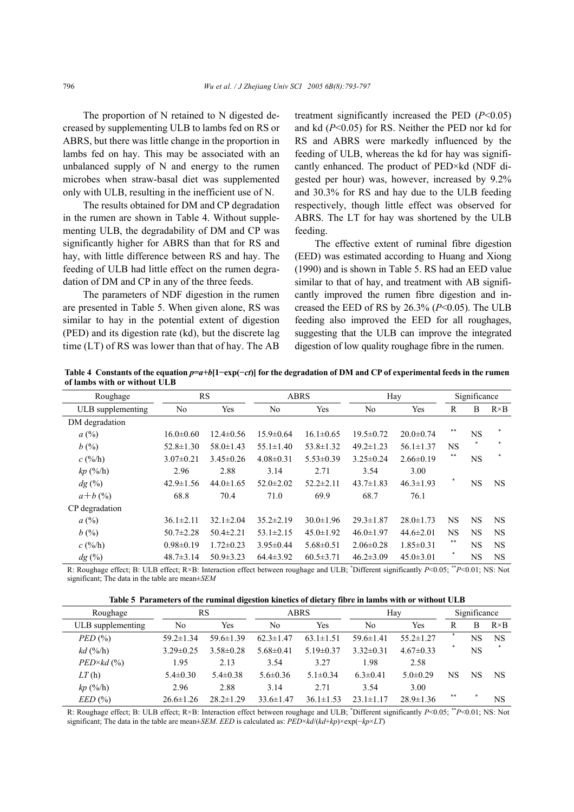The proportion of N retained to N digested decreased by supplementing ULB to lambs fed on RS or ABRS, but there was little change in the proportion in lambs fed on hay. This may be associated with an unbalanced supply of N and energy to the rumen microbes when straw-basal diet was supplemented only with ULB, resulting in the inefficient use of N.

The results obtained for DM and CP degradation in the rumen are shown in Table 4. Without supplementing ULB, the degradability of DM and CP was significantly higher for ABRS than that for RS and hay, with little difference between RS and hay. The feeding of ULB had little effect on the rumen degradation of DM and CP in any of the three feeds.

The parameters of NDF digestion in the rumen are presented in Table 5. When given alone, RS was similar to hay in the potential extent of digestion (PED) and its digestion rate (kd), but the discrete lag time (LT) of RS was lower than that of hay. The AB treatment significantly increased the PED (*P*<0.05) and kd (*P*<0.05) for RS. Neither the PED nor kd for RS and ABRS were markedly influenced by the feeding of ULB, whereas the kd for hay was significantly enhanced. The product of PED×kd (NDF digested per hour) was, however, increased by 9.2% and 30.3% for RS and hay due to the ULB feeding respectively, though little effect was observed for ABRS. The LT for hay was shortened by the ULB feeding.

The effective extent of ruminal fibre digestion (EED) was estimated according to Huang and Xiong (1990) and is shown in Table 5. RS had an EED value similar to that of hay, and treatment with AB significantly improved the rumen fibre digestion and increased the EED of RS by 26.3% (*P*<0.05). The ULB feeding also improved the EED for all roughages, suggesting that the ULB can improve the integrated digestion of low quality roughage fibre in the rumen.

Table 4 Constants of the equation  $p=a+b[1-exp(-ct)]$  for the degradation of DM and CP of experimental feeds in the rumen **of lambs with or without ULB** 

| Roughage                     |                 | RS              | <b>ABRS</b>     |                 |                 | Hay             |              | Significance |              |
|------------------------------|-----------------|-----------------|-----------------|-----------------|-----------------|-----------------|--------------|--------------|--------------|
| ULB supplementing            | No              | Yes             | N <sub>0</sub>  | <b>Yes</b>      | N <sub>0</sub>  | Yes             | $\mathbb{R}$ | B            | $R \times B$ |
| DM degradation               |                 |                 |                 |                 |                 |                 |              |              |              |
| a(%)                         | $16.0 \pm 0.60$ | $12.4\pm 0.56$  | $15.9 \pm 0.64$ | $16.1 \pm 0.65$ | $19.5 \pm 0.72$ | $20.0 \pm 0.74$ | **           | <b>NS</b>    |              |
| b(%)                         | $52.8 \pm 1.30$ | $58.0 \pm 1.43$ | $55.1 \pm 1.40$ | $53.8 \pm 1.32$ | $49.2 \pm 1.23$ | $56.1 \pm 1.37$ | <b>NS</b>    |              |              |
| $c($ %/h)                    | $3.07 \pm 0.21$ | $3.45\pm0.26$   | $4.08\pm0.31$   | $5.53 \pm 0.39$ | $3.25 \pm 0.24$ | $2.66\pm0.19$   | **           | <b>NS</b>    |              |
| kp(%h)                       | 2.96            | 2.88            | 3.14            | 2.71            | 3.54            | 3.00            |              |              |              |
| dg(%)                        | $42.9 \pm 1.56$ | $44.0 \pm 1.65$ | $52.0 \pm 2.02$ | $52.2 \pm 2.11$ | $43.7 \pm 1.83$ | $46.3 \pm 1.93$ |              | <b>NS</b>    | <b>NS</b>    |
| $a+b(%)$                     | 68.8            | 70.4            | 71.0            | 69.9            | 68.7            | 76.1            |              |              |              |
| CP degradation               |                 |                 |                 |                 |                 |                 |              |              |              |
| a(%)                         | $36.1 \pm 2.11$ | $32.1 \pm 2.04$ | $35.2 \pm 2.19$ | $30.0 \pm 1.96$ | $29.3 \pm 1.87$ | $28.0 \pm 1.73$ | <b>NS</b>    | <b>NS</b>    | <b>NS</b>    |
| b(%)                         | $50.7 \pm 2.28$ | $50.4 \pm 2.21$ | $53.1 \pm 2.15$ | $45.0 \pm 1.92$ | $46.0 \pm 1.97$ | $44.6 \pm 2.01$ | NS.          | <b>NS</b>    | <b>NS</b>    |
| $c($ %/h)                    | $0.98 \pm 0.19$ | $1.72 \pm 0.23$ | $3.95 \pm 0.44$ | $5.68 \pm 0.51$ | $2.06 \pm 0.28$ | $1.85 \pm 0.31$ | **           | <b>NS</b>    | <b>NS</b>    |
| $dg\left(\frac{0}{0}\right)$ | $48.7 \pm 3.14$ | $50.9 \pm 3.23$ | $64.4 \pm 3.92$ | $60.5 \pm 3.71$ | $46.2 \pm 3.09$ | $45.0 \pm 3.01$ |              | <b>NS</b>    | <b>NS</b>    |

R: Roughage effect; B: ULB effect; R×B: Interaction effect between roughage and ULB; \*Different significantly *P*<0.05; \*\**P*<0.01; NS: Not significant; The data in the table are mean±*SEM* 

**Table 5 Parameters of the ruminal digestion kinetics of dietary fibre in lambs with or without ULB** 

| Roughage            | RS              |                 | <b>ABRS</b>     |                 | Hay             | Significance    |    |    |              |
|---------------------|-----------------|-----------------|-----------------|-----------------|-----------------|-----------------|----|----|--------------|
| ULB supplementing   | No              | Yes             | No              | Yes             | No              | Yes             | R  | В  | $R \times B$ |
| PED(%)              | $59.2 \pm 1.34$ | $59.6 \pm 1.39$ | $62.3 \pm 1.47$ | $63.1 \pm 1.51$ | $59.6 \pm 1.41$ | $55.2 \pm 1.27$ |    | NS | NS           |
| $kd$ (%/h)          | $3.29 \pm 0.25$ | $3.58 \pm 0.28$ | $5.68\pm0.41$   | $5.19 \pm 0.37$ | $3.32\pm0.31$   | $4.67\pm0.33$   |    | NS | $\ast$       |
| $PED \times kd$ (%) | 1.95            | 2.13            | 3.54            | 3.27            | 1.98            | 2.58            |    |    |              |
| LT(h)               | $5.4 \pm 0.30$  | $5.4 \pm 0.38$  | $5.6\pm0.36$    | $5.1 \pm 0.34$  | $6.3 \pm 0.41$  | $5.0 \pm 0.29$  | NS | NS | <b>NS</b>    |
| kp(%h)              | 2.96            | 2.88            | 3.14            | 2.71            | 3.54            | 3.00            |    |    |              |
| EED(%)              | $26.6 \pm 1.26$ | $28.2 \pm 1.29$ | $33.6 \pm 1.47$ | $36.1 \pm 1.53$ | $23.1 \pm 1.17$ | $28.9 \pm 1.36$ | ** |    | NS           |

R: Roughage effect; B: ULB effect; R×B: Interaction effect between roughage and ULB; \*Different significantly *P*<0.05; \*\**P*<0.01; NS: Not -significant; The data in the table are mean±*SEM*. *EED* is calculated as: *PED*×*kd*/(*kd*+*kp*)×exp(−*kp*×*LT*)